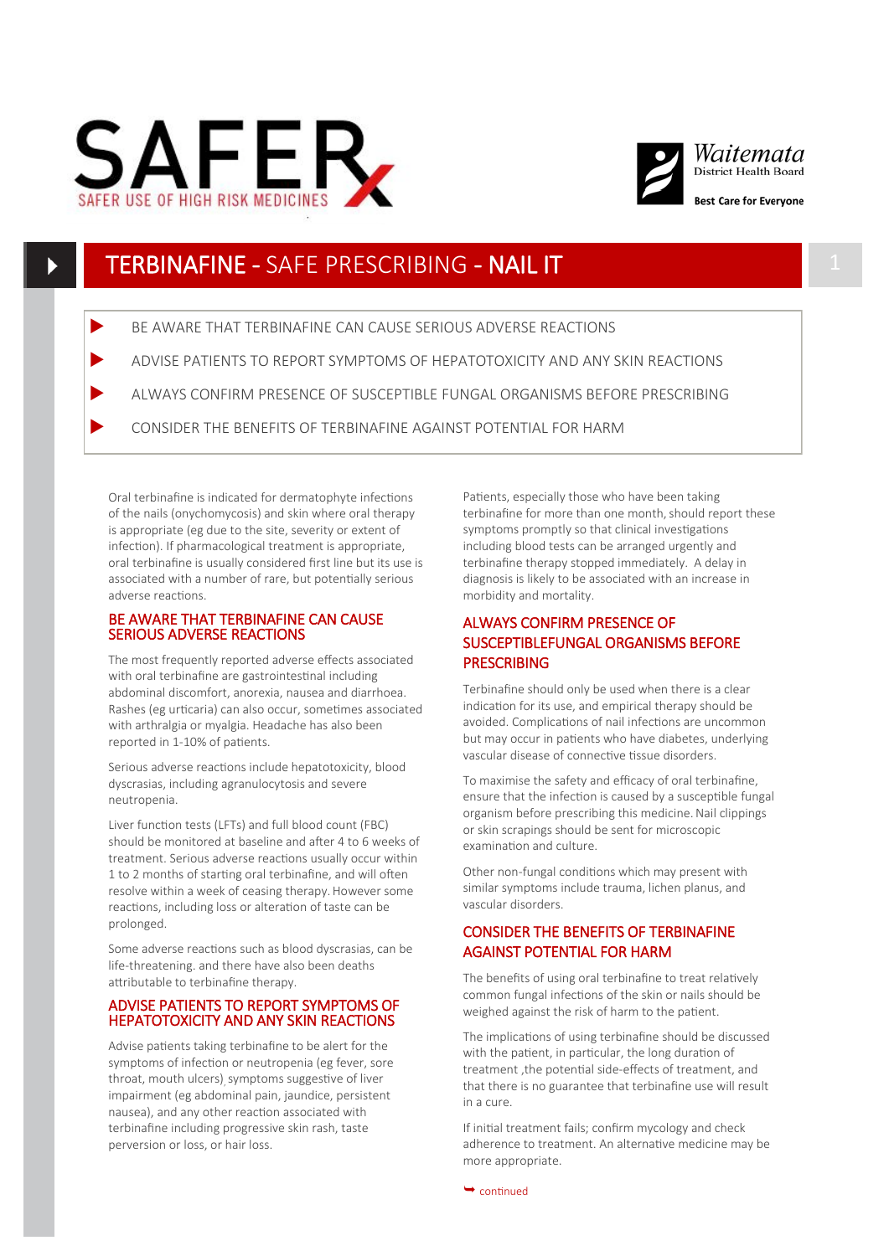



## TERBINAFINE - SAFE PRESCRIBING - NAIL IT 1

- BE AWARE THAT TERBINAFINE CAN CAUSE SERIOUS ADVERSE REACTIONS
- ADVISE PATIENTS TO REPORT SYMPTOMS OF HEPATOTOXICITY AND ANY SKIN REACTIONS
- ALWAYS CONFIRM PRESENCE OF SUSCEPTIBLE FUNGAL ORGANISMS BEFORE PRESCRIBING

CONSIDER THE BENEFITS OF TERBINAFINE AGAINST POTENTIAL FOR HARM

Oral terbinafine is indicated for dermatophyte infections of the nails (onychomycosis) and skin where oral therapy is appropriate (eg due to the site, severity or extent of infection). If pharmacological treatment is appropriate, oral terbinafine is usually considered first line but its use is associated with a number of rare, but potentially serious adverse reactions.

#### BE AWARE THAT TERBINAFINE CAN CAUSE SERIOUS ADVERSE REACTIONS

The most frequently reported adverse effects associated with oral terbinafine are gastrointestinal including abdominal discomfort, anorexia, nausea and diarrhoea. Rashes (eg urticaria) can also occur, sometimes associated with arthralgia or myalgia. Headache has also been reported in 1-10% of patients.

Serious adverse reactions include hepatotoxicity, blood dyscrasias, including agranulocytosis and severe neutropenia.

Liver function tests (LFTs) and full blood count (FBC) should be monitored at baseline and after 4 to 6 weeks of treatment. Serious adverse reactions usually occur within 1 to 2 months of starting oral terbinafine, and will often resolve within a week of ceasing therapy.However some reactions, including loss or alteration of taste can be prolonged.

Some adverse reactions such as blood dyscrasias, can be life-threatening. and there have also been deaths attributable to terbinafine therapy.

#### ADVISE PATIENTS TO REPORT SYMPTOMS OF HEPATOTOXICITY AND ANY SKIN REACTIONS

Advise patients taking terbinafine to be alert for the symptoms of infection or neutropenia (eg fever, sore throat, mouth ulcers) symptoms suggestive of liver impairment (eg abdominal pain, jaundice, persistent nausea), and any other reaction associated with terbinafine including progressive skin rash, taste perversion or loss, or hair loss.

Patients, especially those who have been taking terbinafine for more than one month, should report these symptoms promptly so that clinical investigations including blood tests can be arranged urgently and terbinafine therapy stopped immediately. A delay in diagnosis is likely to be associated with an increase in morbidity and mortality.

## ALWAYS CONFIRM PRESENCE OF SUSCEPTIBLEFUNGAL ORGANISMS BEFORE **PRESCRIBING**

Terbinafine should only be used when there is a clear indication for its use, and empirical therapy should be avoided. Complications of nail infections are uncommon but may occur in patients who have diabetes, underlying vascular disease of connective tissue disorders.

To maximise the safety and efficacy of oral terbinafine, ensure that the infection is caused by a susceptible fungal organism before prescribing this medicine. Nail clippings or skin scrapings should be sent for microscopic examination and culture.

Other non-fungal conditions which may present with similar symptoms include trauma, lichen planus, and vascular disorders.

## CONSIDER THE BENEFITS OF TERBINAFINE AGAINST POTENTIAL FOR HARM

The benefits of using oral terbinafine to treat relatively common fungal infections of the skin or nails should be weighed against the risk of harm to the patient.

The implications of using terbinafine should be discussed with the patient, in particular, the long duration of treatment ,the potential side-effects of treatment, and that there is no guarantee that terbinafine use will result in a cure.

If initial treatment fails; confirm mycology and check adherence to treatment. An alternative medicine may be more appropriate.